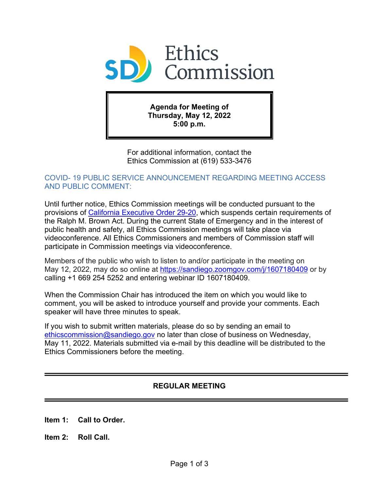

**Agenda for Meeting of Thursday, May 12, 2022 5:00 p.m.**

For additional information, contact the Ethics Commission at (619) 533-3476

# COVID- 19 PUBLIC SERVICE ANNOUNCEMENT REGARDING MEETING ACCESS AND PUBLIC COMMENT:

Until further notice, Ethics Commission meetings will be conducted pursuant to the provisions of [California Executive Order 29-20,](https://www.gov.ca.gov/wp-content/uploads/2020/03/3.17.20-N-29-20-EO.pdf) which suspends certain requirements of the Ralph M. Brown Act. During the current State of Emergency and in the interest of public health and safety, all Ethics Commission meetings will take place via videoconference. All Ethics Commissioners and members of Commission staff will participate in Commission meetings via videoconference.

Members of the public who wish to listen to and/or participate in the meeting on May 12, 2022, may do so online at <https://sandiego.zoomgov.com/j/1607180409> or by calling +1 669 254 5252 and entering webinar ID 1607180409.

When the Commission Chair has introduced the item on which you would like to comment, you will be asked to introduce yourself and provide your comments. Each speaker will have three minutes to speak.

If you wish to submit written materials, please do so by sending an email to [ethicscommission@sandiego.gov](mailto:ethicscommission@sandiego.gov) no later than close of business on Wednesday, May 11, 2022. Materials submitted via e-mail by this deadline will be distributed to the Ethics Commissioners before the meeting.

# **REGULAR MEETING**

- **Item 1: Call to Order.**
- **Item 2: Roll Call.**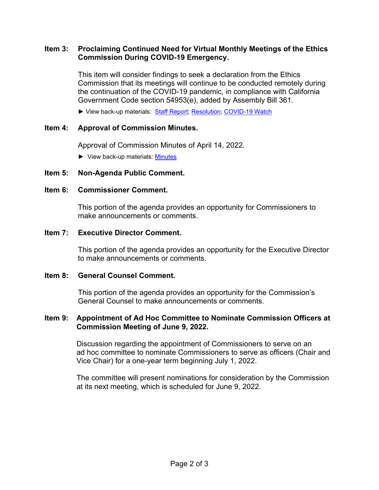# **Item 3: Proclaiming Continued Need for Virtual Monthly Meetings of the Ethics Commission During COVID-19 Emergency.**

This item will consider findings to seek a declaration from the Ethics Commission that its meetings will continue to be conducted remotely during the continuation of the COVID-19 pandemic, in compliance with California Government Code section 54953(e), added by Assembly Bill 361.

► View back-up materials: [Staff Report;](http://www.sandiego.gov/sites/default/files/staffreport_220317.pdf) [Resolution;](http://www.sandiego.gov/sites/default/files/r-2022-396.pdf) [COVID-19 Watch](http://www.sandiego.gov/sites/default/files/covid-19_watch.pdf)

### **Item 4: Approval of Commission Minutes.**

Approval of Commission Minutes of April 14, 2022.

► View back-up materials: [Minutes](http://www.sandiego.gov/sites/default/files/minutes_220414.pdf)

### **Item 5: Non-Agenda Public Comment.**

#### **Item 6: Commissioner Comment.**

This portion of the agenda provides an opportunity for Commissioners to make announcements or comments.

#### **Item 7: Executive Director Comment.**

This portion of the agenda provides an opportunity for the Executive Director to make announcements or comments.

#### **Item 8: General Counsel Comment.**

This portion of the agenda provides an opportunity for the Commission's General Counsel to make announcements or comments.

### **Item 9: Appointment of Ad Hoc Committee to Nominate Commission Officers at Commission Meeting of June 9, 2022.**

 Discussion regarding the appointment of Commissioners to serve on an ad hoc committee to nominate Commissioners to serve as officers (Chair and Vice Chair) for a one-year term beginning July 1, 2022.

The committee will present nominations for consideration by the Commission at its next meeting, which is scheduled for June 9, 2022.